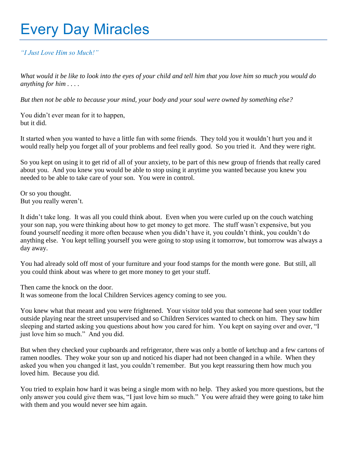## Every Day Miracles

## *"I Just Love Him so Much!"*

*What would it be like to look into the eyes of your child and tell him that you love him so much you would do anything for him . . . .*

*But then not be able to because your mind, your body and your soul were owned by something else?*

You didn't ever mean for it to happen, but it did.

It started when you wanted to have a little fun with some friends. They told you it wouldn't hurt you and it would really help you forget all of your problems and feel really good. So you tried it. And they were right.

So you kept on using it to get rid of all of your anxiety, to be part of this new group of friends that really cared about you. And you knew you would be able to stop using it anytime you wanted because you knew you needed to be able to take care of your son. You were in control.

Or so you thought. But you really weren't.

It didn't take long. It was all you could think about. Even when you were curled up on the couch watching your son nap, you were thinking about how to get money to get more. The stuff wasn't expensive, but you found yourself needing it more often because when you didn't have it, you couldn't think, you couldn't do anything else. You kept telling yourself you were going to stop using it tomorrow, but tomorrow was always a day away.

You had already sold off most of your furniture and your food stamps for the month were gone. But still, all you could think about was where to get more money to get your stuff.

Then came the knock on the door.

It was someone from the local Children Services agency coming to see you.

You knew what that meant and you were frightened. Your visitor told you that someone had seen your toddler outside playing near the street unsupervised and so Children Services wanted to check on him. They saw him sleeping and started asking you questions about how you cared for him. You kept on saying over and over, "I just love him so much." And you did.

But when they checked your cupboards and refrigerator, there was only a bottle of ketchup and a few cartons of ramen noodles. They woke your son up and noticed his diaper had not been changed in a while. When they asked you when you changed it last, you couldn't remember. But you kept reassuring them how much you loved him. Because you did.

You tried to explain how hard it was being a single mom with no help. They asked you more questions, but the only answer you could give them was, "I just love him so much." You were afraid they were going to take him with them and you would never see him again.